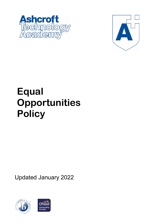



# **Equal Opportunities Policy**

Updated January 2022



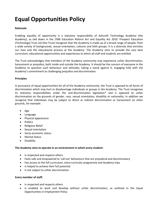# **Equal Opportunities Policy**

# **Rationale**

Enabling equality of opportunity is a statutory responsibility of Ashcroft Technology Academy (the Academy), as laid down in the 1996 Education Reform Act and Equality Act 2010. Prospect Education (Technology) Trust Ltd (the Trust) recognise that the Academy is made up of a broad range of people, from a wide variety of backgrounds, sexual orientation, cultures and faith groups. It is a diversity that enriches our lives and the educational process at the Academy. The Academy aims to provide the very best curriculum, educational opportunities and experiences to which all staff and students are entitled.

The Trust acknowledges that members of the Academy community may experience unfair discrimination, harassment or prejudice, both inside and outside the Academy. It should be the concern of everyone in the Academy to question such behaviour and attitudes, taking a stand against it, engaging fully with the Academy's commitment to challenging prejudice and discrimination.

## **Principles**

In pursuance of equal opportunities for all of the Academy community, the Trust is opposed to all forms of discrimination which may hurt or disadvantage individuals or groups in the Academy. The Trust recognises its statutory responsibilities under the anti-discrimination legislation\* and is opposed to unfair discrimination on the grounds of gender, race, sexual orientation, disability or nationality. In addition we recognise that individuals may be subject to direct or indirect discrimination or harassment on other grounds, for example:

- Age
- Language
- Physical appearance
- Politics
- Religious Belief
- Sexual orientation
- Socio-economic status
- Marital Status
- Disability

#### **The Academy aims to operate in an environment in which every student:**

- Is respected and respects others
- Feels safe and empowered to 'call out' behaviours that are prejudicial and discriminatory
- Has access to the full curriculum, extra-curricular programme and Academy trips
- Is helped to achieve their full potential
- Is not subject to unfair discrimination

#### **Every member of staff:**

- Is respected and respects others
- Is enabled to work and develop without unfair discrimination, as outlined in the Equal Opportunities in Employment Policy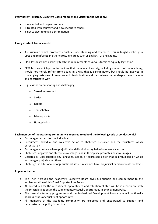# **Every parent, Trustee, Executive Board member and visitor to the Academy:**

- Is respected and respects others
- Is treated with courtesy and is courteous to others
- Is not subject to unfair discrimination

## **Every student has access to:**

- A curriculum which promotes equality, understanding and tolerance. This is taught explicitly in CPSE and reinforced in other curriculum areas such as English, ICT and Drama.
- CPSE lessons which explicitly teach the requirements of various forms of equality legislation
- CPSE lessons which promote the idea that members of society, including students of the Academy, should not merely refrain from acting in a way that is discriminatory but should be involved in challenging instances of prejudice and discrimination and the systems that underpin these in a safe and constructive way.
- E.g. lessons on preventing and challenging:
	- o Sexual harassment
	- o Sexism
	- o Racism
	- o Transphobia
	- o Islamophobia
	- o Homophobia

#### **Each member of the Academy community is required to uphold the following code of conduct which:**

- Encourages respect for the individual
- Encourages individual and collective action to challenge prejudice and the structures which perpetuate it
- Encourages a culture where prejudicial and discriminatory behaviours are 'called out'
- Challenges negative and stereotypical images and in their place promotes positive images
- Declares as unacceptable any language, action or expressed belief that is prejudiced or which encourages prejudice in others
- Challenges institutional or organisational structures which have prejudicial or discriminatory effects

#### **Implementation**

- The Trust, through the Academy's Executive Board gives full support and commitment to the implementation of this Equal Opportunities Policy
- All procedures for the recruitment, appointment and retention of staff will be in accordance with the principles set out in the supplementary Equal Opportunities in Employment Policy
- The in-service training programme and the Professional Development Programme will continually address issues of equality of opportunity
- All members of the Academy community are expected and encouraged to support and demonstrate the policy in practice